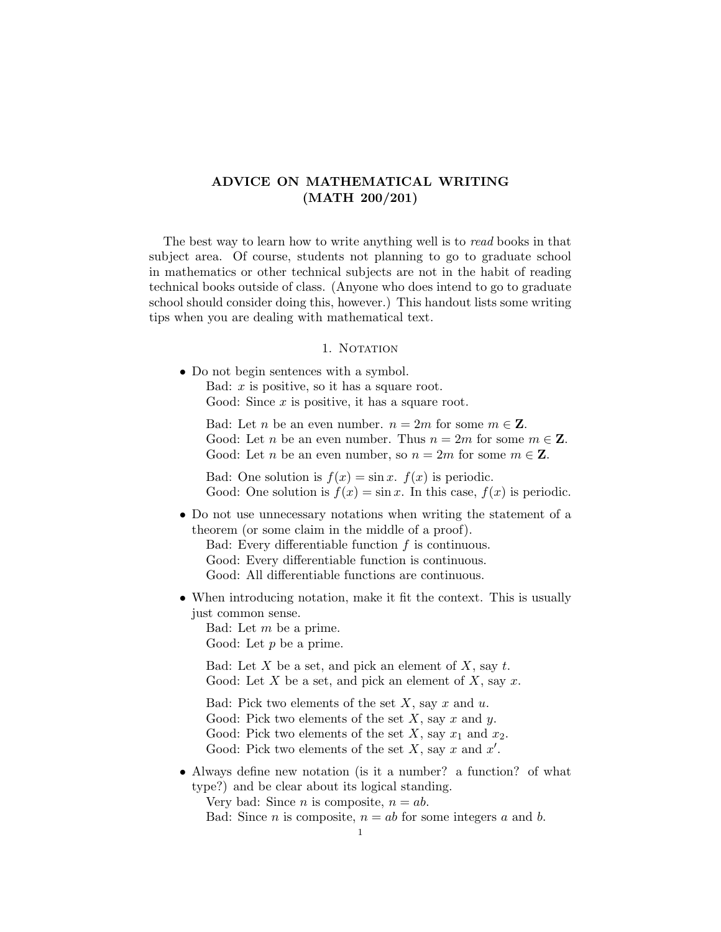# ADVICE ON MATHEMATICAL WRITING (MATH 200/201)

The best way to learn how to write anything well is to read books in that subject area. Of course, students not planning to go to graduate school in mathematics or other technical subjects are not in the habit of reading technical books outside of class. (Anyone who does intend to go to graduate school should consider doing this, however.) This handout lists some writing tips when you are dealing with mathematical text.

#### 1. NOTATION

• Do not begin sentences with a symbol. Bad:  $x$  is positive, so it has a square root.

Good: Since  $x$  is positive, it has a square root.

Bad: Let *n* be an even number.  $n = 2m$  for some  $m \in \mathbb{Z}$ . Good: Let *n* be an even number. Thus  $n = 2m$  for some  $m \in \mathbb{Z}$ . Good: Let *n* be an even number, so  $n = 2m$  for some  $m \in \mathbb{Z}$ .

Bad: One solution is  $f(x) = \sin x$ .  $f(x)$  is periodic. Good: One solution is  $f(x) = \sin x$ . In this case,  $f(x)$  is periodic.

• Do not use unnecessary notations when writing the statement of a theorem (or some claim in the middle of a proof).

Bad: Every differentiable function  $f$  is continuous. Good: Every differentiable function is continuous. Good: All differentiable functions are continuous.

• When introducing notation, make it fit the context. This is usually just common sense.

Bad: Let m be a prime. Good: Let  $p$  be a prime.

Bad: Let  $X$  be a set, and pick an element of  $X$ , say  $t$ . Good: Let X be a set, and pick an element of X, say x.

Bad: Pick two elements of the set  $X$ , say  $x$  and  $u$ . Good: Pick two elements of the set  $X$ , say  $x$  and  $y$ . Good: Pick two elements of the set X, say  $x_1$  and  $x_2$ . Good: Pick two elements of the set  $X$ , say  $x$  and  $x'$ .

• Always define new notation (is it a number? a function? of what type?) and be clear about its logical standing.

Very bad: Since *n* is composite,  $n = ab$ .

Bad: Since *n* is composite,  $n = ab$  for some integers *a* and *b*.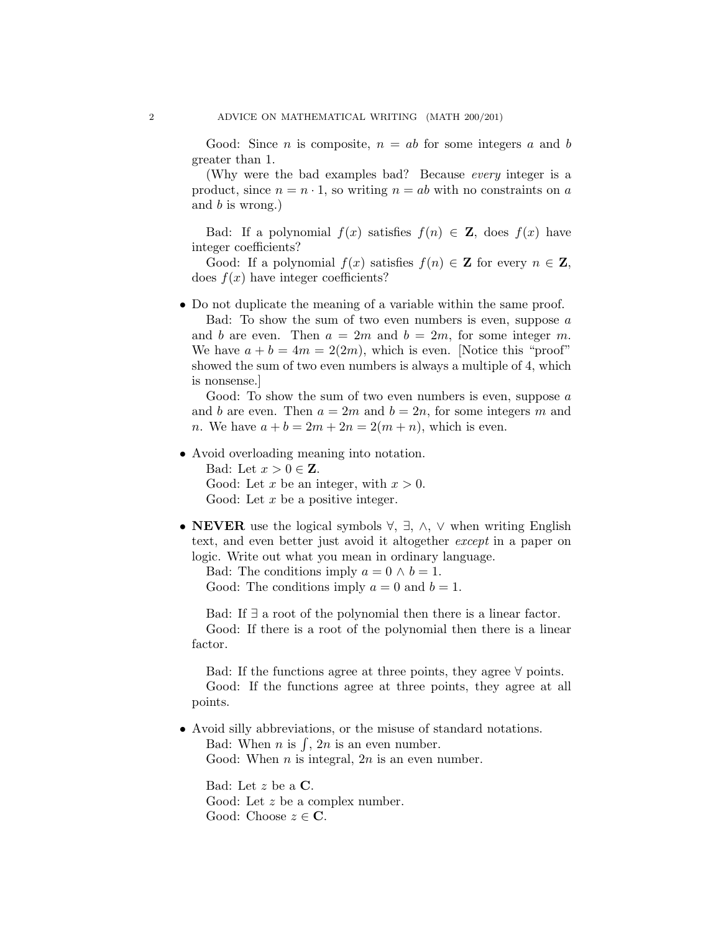Good: Since *n* is composite,  $n = ab$  for some integers *a* and *b* greater than 1.

(Why were the bad examples bad? Because every integer is a product, since  $n = n \cdot 1$ , so writing  $n = ab$  with no constraints on a and  $b$  is wrong.)

Bad: If a polynomial  $f(x)$  satisfies  $f(n) \in \mathbb{Z}$ , does  $f(x)$  have integer coefficients?

Good: If a polynomial  $f(x)$  satisfies  $f(n) \in \mathbb{Z}$  for every  $n \in \mathbb{Z}$ , does  $f(x)$  have integer coefficients?

• Do not duplicate the meaning of a variable within the same proof.

Bad: To show the sum of two even numbers is even, suppose  $a$ and b are even. Then  $a = 2m$  and  $b = 2m$ , for some integer m. We have  $a + b = 4m = 2(2m)$ , which is even. [Notice this "proof" showed the sum of two even numbers is always a multiple of 4, which is nonsense.]

Good: To show the sum of two even numbers is even, suppose  $a$ and b are even. Then  $a = 2m$  and  $b = 2n$ , for some integers m and *n*. We have  $a + b = 2m + 2n = 2(m + n)$ , which is even.

• Avoid overloading meaning into notation.

Bad: Let  $x > 0 \in \mathbb{Z}$ . Good: Let x be an integer, with  $x > 0$ . Good: Let  $x$  be a positive integer.

• NEVER use the logical symbols  $\forall$ ,  $\exists$ ,  $\wedge$ ,  $\vee$  when writing English text, and even better just avoid it altogether except in a paper on logic. Write out what you mean in ordinary language.

Bad: The conditions imply  $a = 0 \land b = 1$ . Good: The conditions imply  $a = 0$  and  $b = 1$ .

Bad: If ∃ a root of the polynomial then there is a linear factor. Good: If there is a root of the polynomial then there is a linear factor.

Bad: If the functions agree at three points, they agree ∀ points. Good: If the functions agree at three points, they agree at all points.

• Avoid silly abbreviations, or the misuse of standard notations. Bad: When *n* is  $\int$ , 2*n* is an even number. Good: When  $n$  is integral,  $2n$  is an even number.

Bad: Let z be a C. Good: Let z be a complex number. Good: Choose  $z \in \mathbb{C}$ .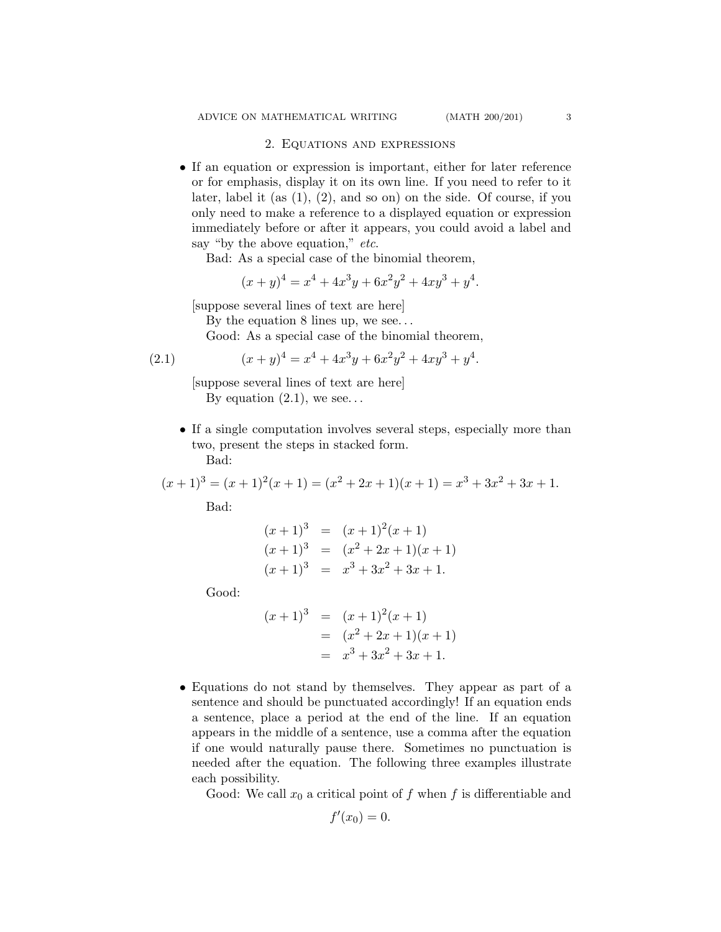#### 2. Equations and expressions

• If an equation or expression is important, either for later reference or for emphasis, display it on its own line. If you need to refer to it later, label it (as  $(1)$ ,  $(2)$ , and so on) on the side. Of course, if you only need to make a reference to a displayed equation or expression immediately before or after it appears, you could avoid a label and say "by the above equation," etc.

Bad: As a special case of the binomial theorem,

$$
(x+y)^4 = x^4 + 4x^3y + 6x^2y^2 + 4xy^3 + y^4.
$$

[suppose several lines of text are here]

By the equation 8 lines up, we see. . .

Good: As a special case of the binomial theorem,

(2.1) 
$$
(x+y)^4 = x^4 + 4x^3y + 6x^2y^2 + 4xy^3 + y^4.
$$

[suppose several lines of text are here] By equation  $(2.1)$ , we see...

• If a single computation involves several steps, especially more than two, present the steps in stacked form. Bad:

 $(x+1)^3 = (x+1)^2(x+1) = (x^2+2x+1)(x+1) = x^3+3x^2+3x+1.$ 

Bad:

$$
(x+1)3 = (x+1)2(x+1)
$$
  
\n
$$
(x+1)3 = (x2+2x+1)(x+1)
$$
  
\n
$$
(x+1)3 = x3+3x2+3x+1.
$$

Good:

$$
(x+1)^3 = (x+1)^2(x+1)
$$
  
=  $(x^2+2x+1)(x+1)$   
=  $x^3+3x^2+3x+1$ .

• Equations do not stand by themselves. They appear as part of a sentence and should be punctuated accordingly! If an equation ends a sentence, place a period at the end of the line. If an equation appears in the middle of a sentence, use a comma after the equation if one would naturally pause there. Sometimes no punctuation is needed after the equation. The following three examples illustrate each possibility.

Good: We call  $x_0$  a critical point of f when f is differentiable and

$$
f'(x_0)=0.
$$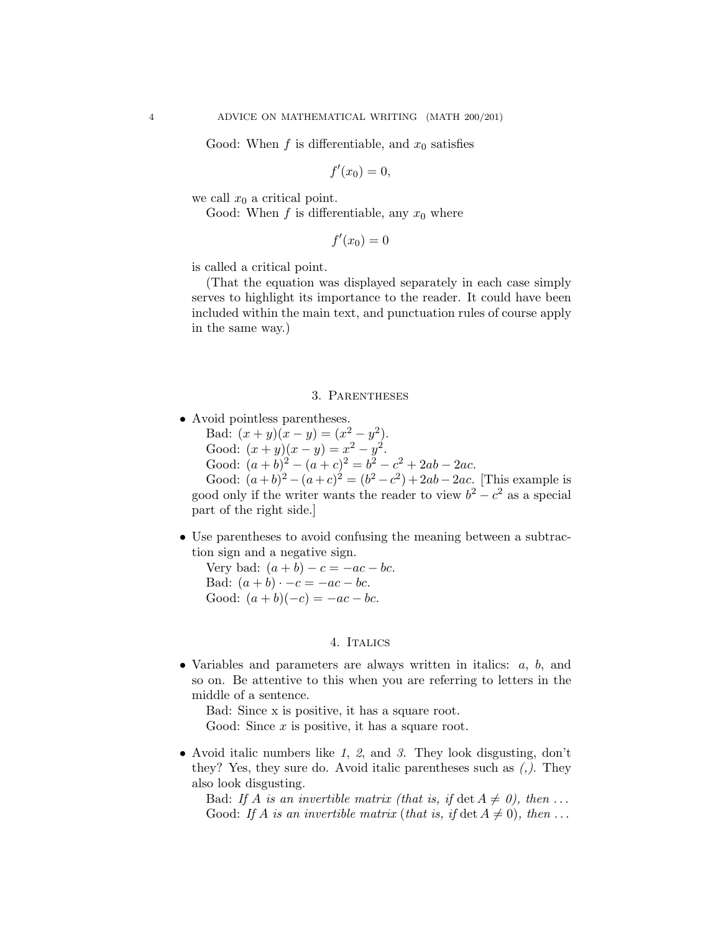Good: When f is differentiable, and  $x_0$  satisfies

$$
f'(x_0)=0,
$$

we call  $x_0$  a critical point.

Good: When  $f$  is differentiable, any  $x_0$  where

$$
f'(x_0)=0
$$

is called a critical point.

(That the equation was displayed separately in each case simply serves to highlight its importance to the reader. It could have been included within the main text, and punctuation rules of course apply in the same way.)

### 3. Parentheses

• Avoid pointless parentheses.

Bad:  $(x + y)(x - y) = (x^2 - y^2)$ .

Good:  $(x+y)(x-y) = x^2 - y^2$ .

Good:  $(a + b)^2 - (a + c)^2 = b^2 - c^2 + 2ab - 2ac$ .

Good:  $(a+b)^2 - (a+c)^2 = (b^2 - c^2) + 2ab - 2ac$ . [This example is good only if the writer wants the reader to view  $b^2 - c^2$  as a special part of the right side.]

• Use parentheses to avoid confusing the meaning between a subtraction sign and a negative sign.

Very bad:  $(a + b) - c = -ac - bc$ . Bad:  $(a + b) \cdot -c = -ac - bc$ . Good:  $(a + b)(-c) = -ac - bc$ .

## 4. Italics

• Variables and parameters are always written in italics:  $a, b$ , and so on. Be attentive to this when you are referring to letters in the middle of a sentence.

Bad: Since x is positive, it has a square root.

Good: Since  $x$  is positive, it has a square root.

• Avoid italic numbers like 1, 2, and 3. They look disgusting, don't they? Yes, they sure do. Avoid italic parentheses such as (,). They also look disgusting.

Bad: If A is an invertible matrix (that is, if det  $A \neq 0$ ), then ... Good: If A is an invertible matrix (that is, if  $\det A \neq 0$ ), then ...